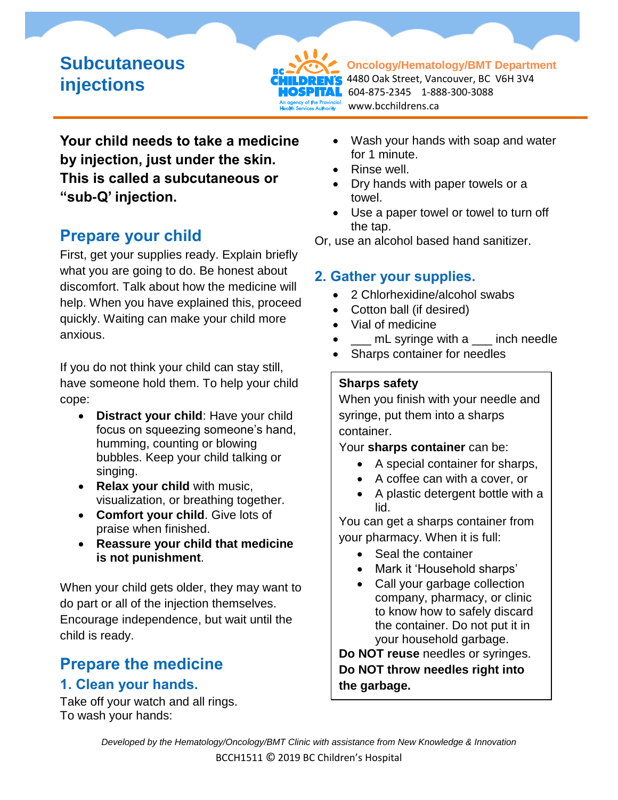# **Subcutaneous injections**



**Oncology/Hematology/BMT Department** 4480 Oak Street, Vancouver, BC V6H 3V4 604-875-2345 1-888-300-3088 www.bcchildrens.ca

**Your child needs to take a medicine by injection, just under the skin. This is called a subcutaneous or "sub-Q' injection.** 

## **Prepare your child**

First, get your supplies ready. Explain briefly what you are going to do. Be honest about discomfort. Talk about how the medicine will help. When you have explained this, proceed quickly. Waiting can make your child more anxious.

If you do not think your child can stay still, have someone hold them. To help your child cope:

- **Distract your child**: Have your child focus on squeezing someone's hand, humming, counting or blowing bubbles. Keep your child talking or singing.
- **Relax your child** with music, visualization, or breathing together.
- **Comfort your child**. Give lots of praise when finished.
- **Reassure your child that medicine is not punishment**.

When your child gets older, they may want to do part or all of the injection themselves. Encourage independence, but wait until the child is ready.

# **Prepare the medicine**

### **1. Clean your hands.**

Take off your watch and all rings. To wash your hands:

- Wash your hands with soap and water for 1 minute.
- Rinse well.
- Dry hands with paper towels or a towel.
- Use a paper towel or towel to turn off the tap.

Or, use an alcohol based hand sanitizer.

### **2. Gather your supplies.**

- 2 Chlorhexidine/alcohol swabs
- Cotton ball (if desired)
- Vial of medicine
- mL syringe with a \_\_\_ inch needle
- Sharps container for needles

#### **Sharps safety**

When you finish with your needle and syringe, put them into a sharps container.

Your **sharps container** can be:

- A special container for sharps,
- A coffee can with a cover, or
- A plastic detergent bottle with a lid.

You can get a sharps container from your pharmacy. When it is full:

- Seal the container
- Mark it 'Household sharps'
- Call your garbage collection company, pharmacy, or clinic to know how to safely discard the container. Do not put it in your household garbage.

**Do NOT reuse** needles or syringes. **Do NOT throw needles right into the garbage.**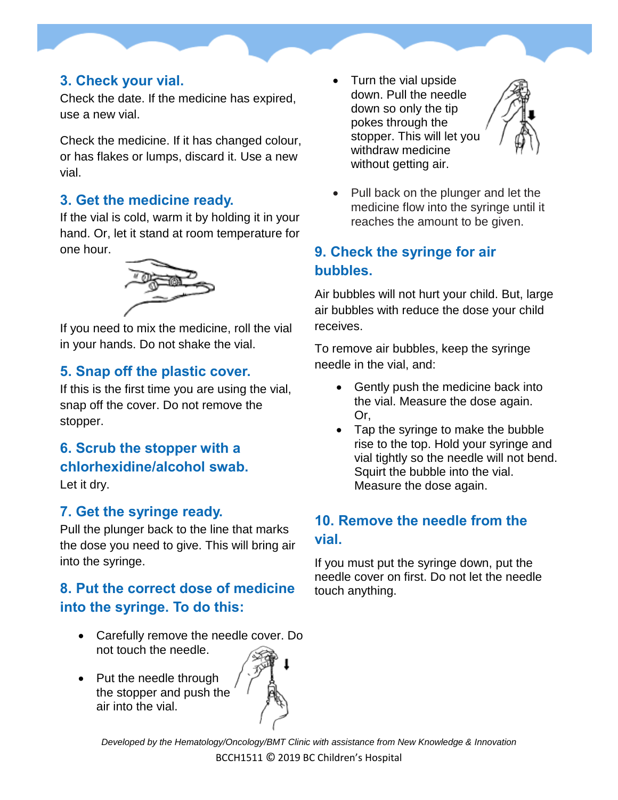#### **3. Check your vial.**

Check the date. If the medicine has expired, use a new vial.

Check the medicine. If it has changed colour, or has flakes or lumps, discard it. Use a new vial.

### **3. Get the medicine ready.**

If the vial is cold, warm it by holding it in your hand. Or, let it stand at room temperature for one hour.



If you need to mix the medicine, roll the vial in your hands. Do not shake the vial.

### **5. Snap off the plastic cover.**

If this is the first time you are using the vial, snap off the cover. Do not remove the stopper.

**6. Scrub the stopper with a chlorhexidine/alcohol swab.**

Let it dry.

### **7. Get the syringe ready.**

Pull the plunger back to the line that marks the dose you need to give. This will bring air into the syringe.

## **8. Put the correct dose of medicine into the syringe. To do this:**

- Carefully remove the needle cover. Do not touch the needle.
- Put the needle through the stopper and push the air into the vial.





 Pull back on the plunger and let the medicine flow into the syringe until it reaches the amount to be given.

### **9. Check the syringe for air bubbles.**

Air bubbles will not hurt your child. But, large air bubbles with reduce the dose your child receives.

To remove air bubbles, keep the syringe needle in the vial, and:

- Gently push the medicine back into the vial. Measure the dose again. Or,
- Tap the syringe to make the bubble rise to the top. Hold your syringe and vial tightly so the needle will not bend. Squirt the bubble into the vial. Measure the dose again.

## **10. Remove the needle from the vial.**

If you must put the syringe down, put the needle cover on first. Do not let the needle touch anything.

*Developed by the Hematology/Oncology/BMT Clinic with assistance from New Knowledge & Innovation* BCCH1511 © 2019 BC Children's Hospital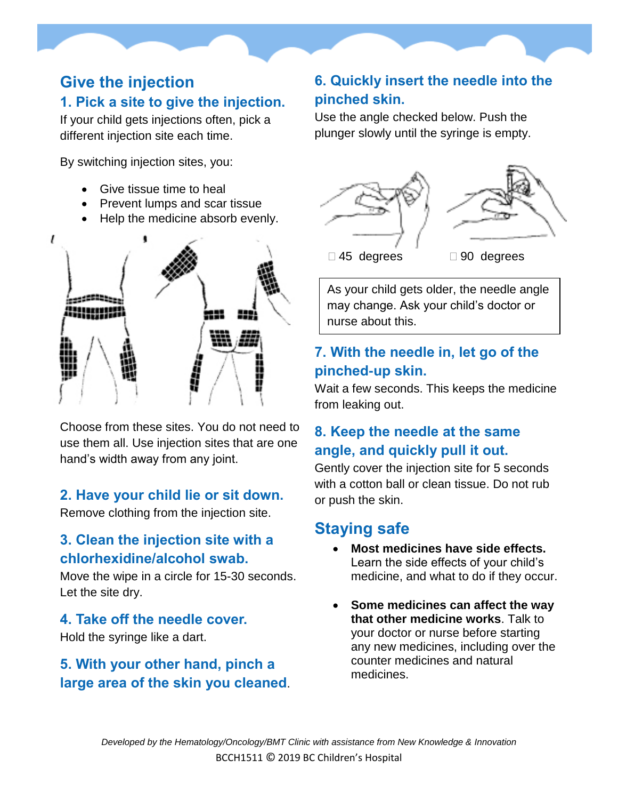## **Give the injection 1. Pick a site to give the injection.**

If your child gets injections often, pick a different injection site each time.

By switching injection sites, you:

- Give tissue time to heal
- Prevent lumps and scar tissue
- Help the medicine absorb evenly.



Choose from these sites. You do not need to use them all. Use injection sites that are one hand's width away from any joint.

#### **2. Have your child lie or sit down.**

Remove clothing from the injection site.

### **3. Clean the injection site with a chlorhexidine/alcohol swab.**

Move the wipe in a circle for 15-30 seconds. Let the site dry.

#### **4. Take off the needle cover.**

Hold the syringe like a dart.

### **5. With your other hand, pinch a large area of the skin you cleaned**.

### **6. Quickly insert the needle into the pinched skin.**

Use the angle checked below. Push the plunger slowly until the syringe is empty.



As your child gets older, the needle angle may change. Ask your child's doctor or nurse about this.

### **7. With the needle in, let go of the pinched-up skin.**

Wait a few seconds. This keeps the medicine from leaking out.

## **8. Keep the needle at the same angle, and quickly pull it out.**

Gently cover the injection site for 5 seconds with a cotton ball or clean tissue. Do not rub or push the skin.

## **Staying safe**

- **Most medicines have side effects.** Learn the side effects of your child's medicine, and what to do if they occur.
- **Some medicines can affect the way that other medicine works**. Talk to your doctor or nurse before starting any new medicines, including over the counter medicines and natural medicines.